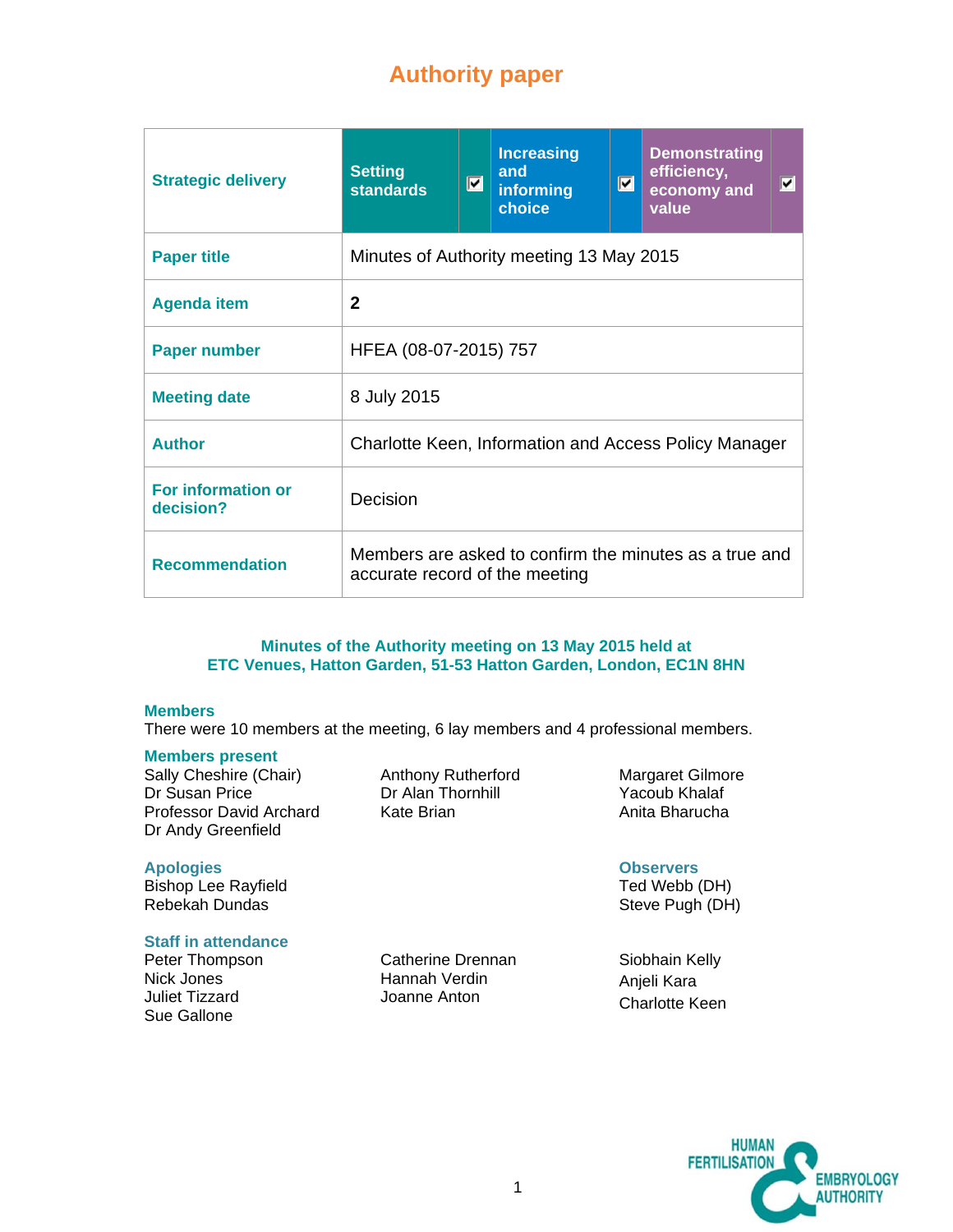# **Authority paper**

| <b>Strategic delivery</b>              | <b>Setting</b><br><b>standards</b>                                                       | $ \mathbf{v} $ | <b>Increasing</b><br>and<br>informing<br>choice | $\blacksquare$ | <b>Demonstrating</b><br>efficiency,<br>economy and<br>value | $ \mathbf{v} $ |
|----------------------------------------|------------------------------------------------------------------------------------------|----------------|-------------------------------------------------|----------------|-------------------------------------------------------------|----------------|
| <b>Paper title</b>                     | Minutes of Authority meeting 13 May 2015                                                 |                |                                                 |                |                                                             |                |
| <b>Agenda item</b>                     | $\mathbf{2}$                                                                             |                |                                                 |                |                                                             |                |
| <b>Paper number</b>                    | HFEA (08-07-2015) 757                                                                    |                |                                                 |                |                                                             |                |
| <b>Meeting date</b>                    | 8 July 2015                                                                              |                |                                                 |                |                                                             |                |
| <b>Author</b>                          | Charlotte Keen, Information and Access Policy Manager                                    |                |                                                 |                |                                                             |                |
| <b>For information or</b><br>decision? | Decision                                                                                 |                |                                                 |                |                                                             |                |
| <b>Recommendation</b>                  | Members are asked to confirm the minutes as a true and<br>accurate record of the meeting |                |                                                 |                |                                                             |                |

#### **Minutes of the Authority meeting on 13 May 2015 held at ETC Venues, Hatton Garden, 51-53 Hatton Garden, London, EC1N 8HN**

#### **Members**

There were 10 members at the meeting, 6 lay members and 4 professional members.

Anthony Rutherford Dr Alan Thornhill Kate Brian

#### **Members present**

Sally Cheshire (Chair) Dr Susan Price Professor David Archard Dr Andy Greenfield

#### **Apologies**

Bishop Lee Rayfield Rebekah Dundas

#### **Staff in attendance**

Peter Thompson Nick Jones Juliet Tizzard Sue Gallone

Catherine Drennan Hannah Verdin Joanne Anton

Margaret Gilmore Yacoub Khalaf Anita Bharucha

# **Observers**

Ted Webb (DH) Steve Pugh (DH)

Siobhain Kelly Anjeli Kara Charlotte Keen

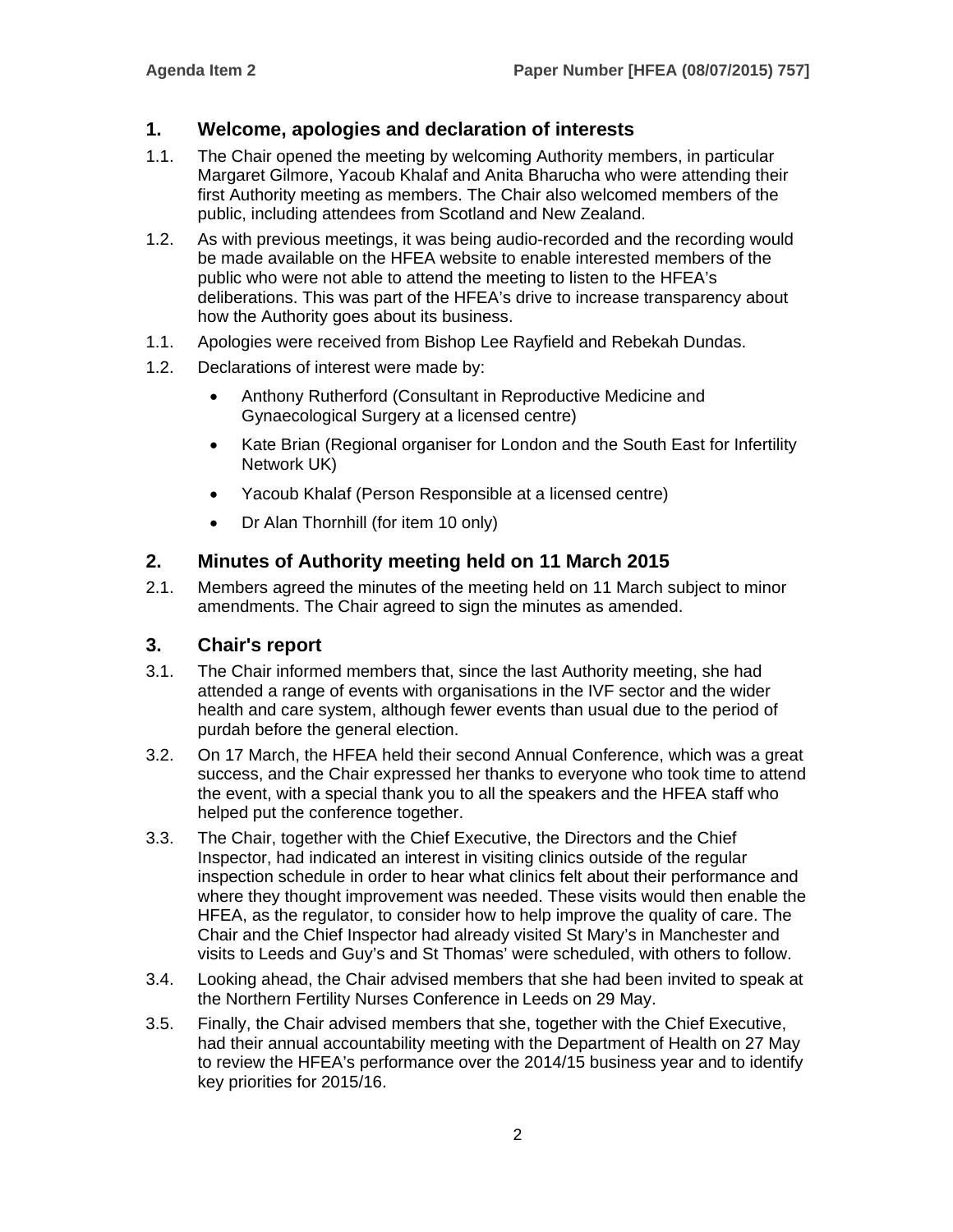# **1. Welcome, apologies and declaration of interests**

- 1.1. The Chair opened the meeting by welcoming Authority members, in particular Margaret Gilmore, Yacoub Khalaf and Anita Bharucha who were attending their first Authority meeting as members. The Chair also welcomed members of the public, including attendees from Scotland and New Zealand.
- 1.2. As with previous meetings, it was being audio-recorded and the recording would be made available on the HFEA website to enable interested members of the public who were not able to attend the meeting to listen to the HFEA's deliberations. This was part of the HFEA's drive to increase transparency about how the Authority goes about its business.
- 1.1. Apologies were received from Bishop Lee Rayfield and Rebekah Dundas.
- 1.2. Declarations of interest were made by:
	- Anthony Rutherford (Consultant in Reproductive Medicine and Gynaecological Surgery at a licensed centre)
	- Kate Brian (Regional organiser for London and the South East for Infertility Network UK)
	- Yacoub Khalaf (Person Responsible at a licensed centre)
	- Dr Alan Thornhill (for item 10 only)

#### **2. Minutes of Authority meeting held on 11 March 2015**

2.1. Members agreed the minutes of the meeting held on 11 March subject to minor amendments. The Chair agreed to sign the minutes as amended.

#### **3. Chair's report**

- 3.1. The Chair informed members that, since the last Authority meeting, she had attended a range of events with organisations in the IVF sector and the wider health and care system, although fewer events than usual due to the period of purdah before the general election.
- 3.2. On 17 March, the HFEA held their second Annual Conference, which was a great success, and the Chair expressed her thanks to everyone who took time to attend the event, with a special thank you to all the speakers and the HFEA staff who helped put the conference together.
- 3.3. The Chair, together with the Chief Executive, the Directors and the Chief Inspector, had indicated an interest in visiting clinics outside of the regular inspection schedule in order to hear what clinics felt about their performance and where they thought improvement was needed. These visits would then enable the HFEA, as the regulator, to consider how to help improve the quality of care. The Chair and the Chief Inspector had already visited St Mary's in Manchester and visits to Leeds and Guy's and St Thomas' were scheduled, with others to follow.
- 3.4. Looking ahead, the Chair advised members that she had been invited to speak at the Northern Fertility Nurses Conference in Leeds on 29 May.
- 3.5. Finally, the Chair advised members that she, together with the Chief Executive, had their annual accountability meeting with the Department of Health on 27 May to review the HFEA's performance over the 2014/15 business year and to identify key priorities for 2015/16.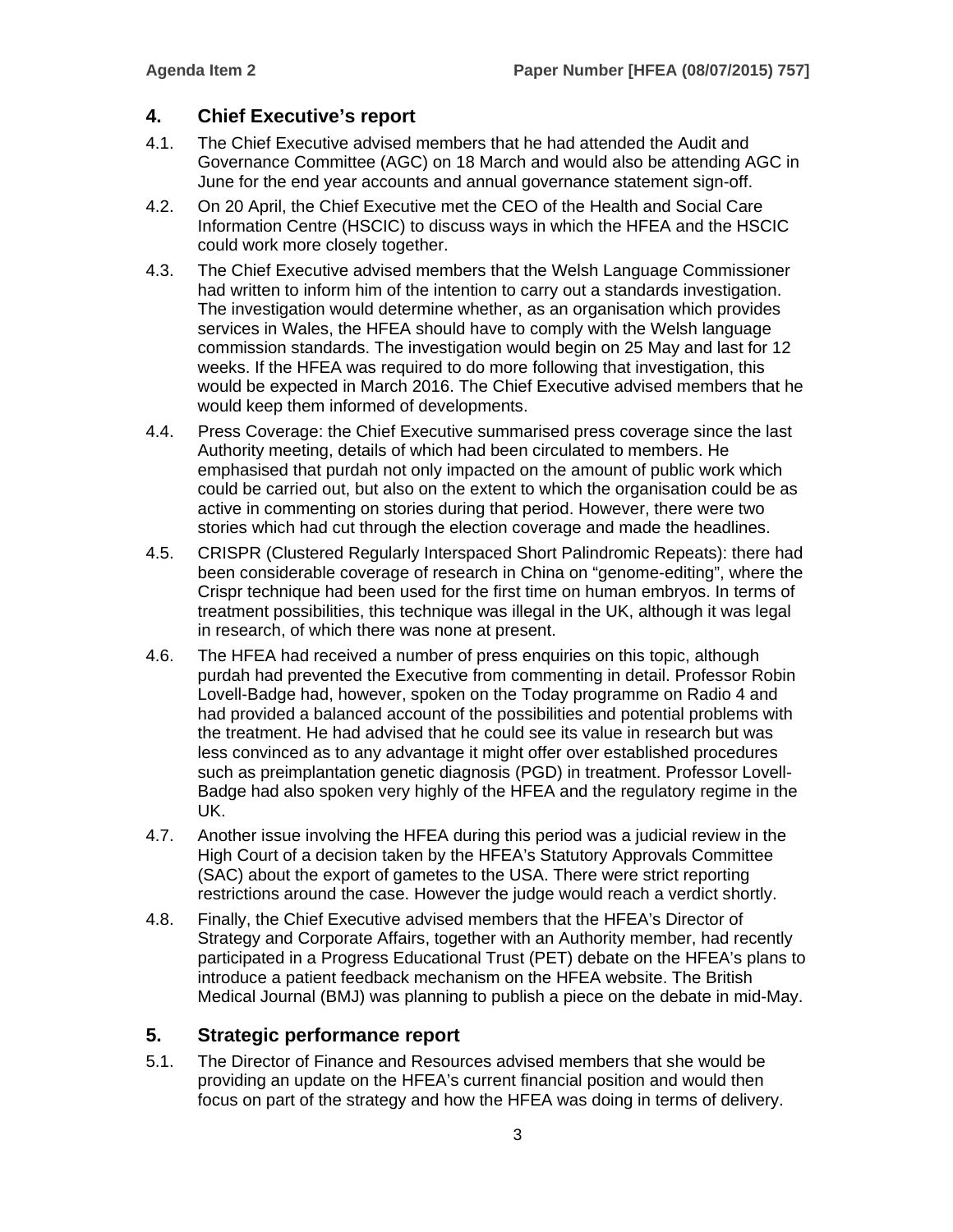# **4. Chief Executive's report**

- 4.1. The Chief Executive advised members that he had attended the Audit and Governance Committee (AGC) on 18 March and would also be attending AGC in June for the end year accounts and annual governance statement sign-off.
- 4.2. On 20 April, the Chief Executive met the CEO of the Health and Social Care Information Centre (HSCIC) to discuss ways in which the HFEA and the HSCIC could work more closely together.
- 4.3. The Chief Executive advised members that the Welsh Language Commissioner had written to inform him of the intention to carry out a standards investigation. The investigation would determine whether, as an organisation which provides services in Wales, the HFEA should have to comply with the Welsh language commission standards. The investigation would begin on 25 May and last for 12 weeks. If the HFEA was required to do more following that investigation, this would be expected in March 2016. The Chief Executive advised members that he would keep them informed of developments.
- 4.4. Press Coverage: the Chief Executive summarised press coverage since the last Authority meeting, details of which had been circulated to members. He emphasised that purdah not only impacted on the amount of public work which could be carried out, but also on the extent to which the organisation could be as active in commenting on stories during that period. However, there were two stories which had cut through the election coverage and made the headlines.
- 4.5. CRISPR (Clustered Regularly Interspaced Short Palindromic Repeats): there had been considerable coverage of research in China on "genome-editing", where the Crispr technique had been used for the first time on human embryos. In terms of treatment possibilities, this technique was illegal in the UK, although it was legal in research, of which there was none at present.
- 4.6. The HFEA had received a number of press enquiries on this topic, although purdah had prevented the Executive from commenting in detail. Professor Robin Lovell-Badge had, however, spoken on the Today programme on Radio 4 and had provided a balanced account of the possibilities and potential problems with the treatment. He had advised that he could see its value in research but was less convinced as to any advantage it might offer over established procedures such as preimplantation genetic diagnosis (PGD) in treatment. Professor Lovell-Badge had also spoken very highly of the HFEA and the regulatory regime in the UK.
- 4.7. Another issue involving the HFEA during this period was a judicial review in the High Court of a decision taken by the HFEA's Statutory Approvals Committee (SAC) about the export of gametes to the USA. There were strict reporting restrictions around the case. However the judge would reach a verdict shortly.
- 4.8. Finally, the Chief Executive advised members that the HFEA's Director of Strategy and Corporate Affairs, together with an Authority member, had recently participated in a Progress Educational Trust (PET) debate on the HFEA's plans to introduce a patient feedback mechanism on the HFEA website. The British Medical Journal (BMJ) was planning to publish a piece on the debate in mid-May.

# **5. Strategic performance report**

5.1. The Director of Finance and Resources advised members that she would be providing an update on the HFEA's current financial position and would then focus on part of the strategy and how the HFEA was doing in terms of delivery.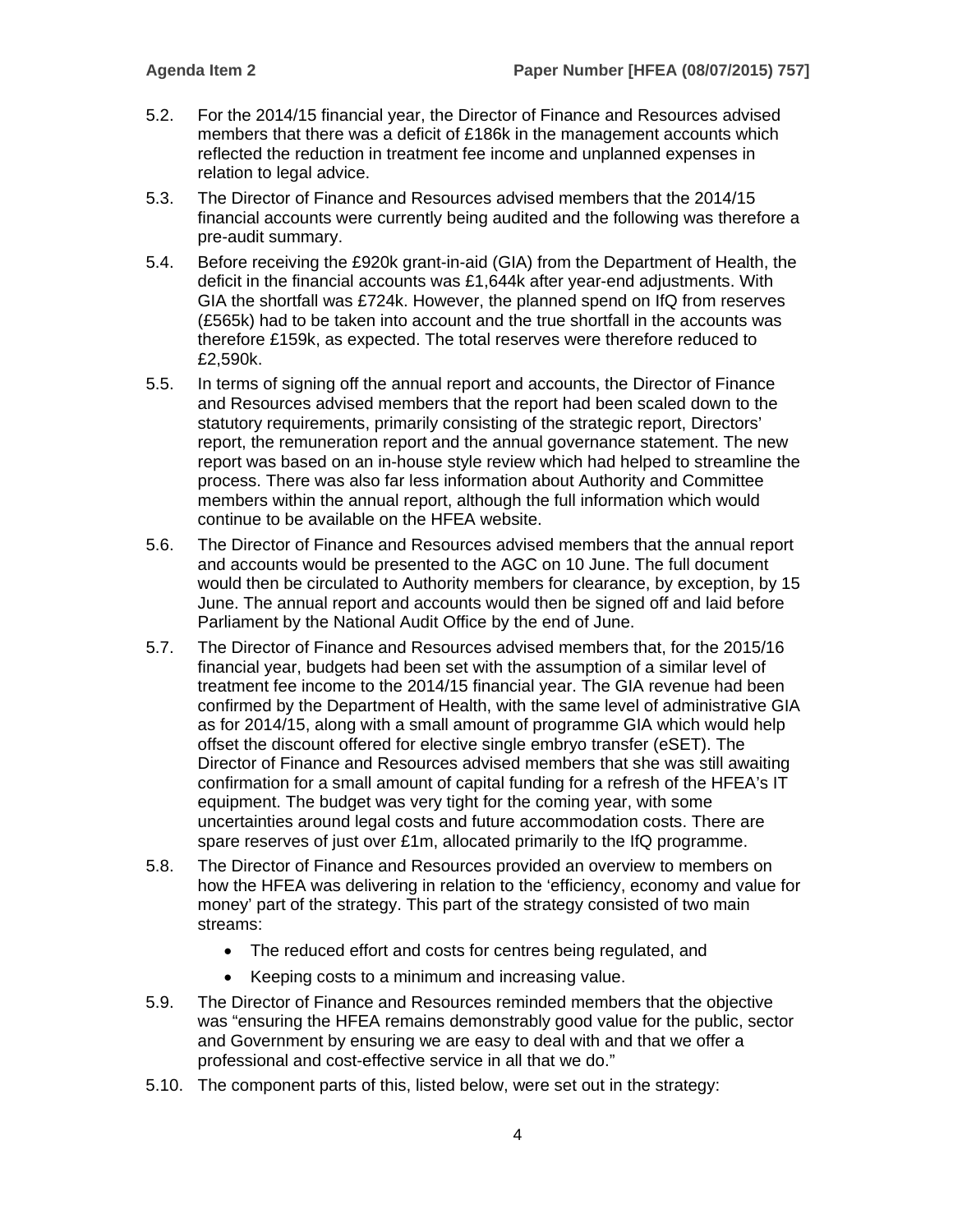- 5.2. For the 2014/15 financial year, the Director of Finance and Resources advised members that there was a deficit of £186k in the management accounts which reflected the reduction in treatment fee income and unplanned expenses in relation to legal advice.
- 5.3. The Director of Finance and Resources advised members that the 2014/15 financial accounts were currently being audited and the following was therefore a pre-audit summary.
- 5.4. Before receiving the £920k grant-in-aid (GIA) from the Department of Health, the deficit in the financial accounts was £1,644k after year-end adjustments. With GIA the shortfall was £724k. However, the planned spend on IfQ from reserves (£565k) had to be taken into account and the true shortfall in the accounts was therefore £159k, as expected. The total reserves were therefore reduced to £2,590k.
- 5.5. In terms of signing off the annual report and accounts, the Director of Finance and Resources advised members that the report had been scaled down to the statutory requirements, primarily consisting of the strategic report, Directors' report, the remuneration report and the annual governance statement. The new report was based on an in-house style review which had helped to streamline the process. There was also far less information about Authority and Committee members within the annual report, although the full information which would continue to be available on the HFEA website.
- 5.6. The Director of Finance and Resources advised members that the annual report and accounts would be presented to the AGC on 10 June. The full document would then be circulated to Authority members for clearance, by exception, by 15 June. The annual report and accounts would then be signed off and laid before Parliament by the National Audit Office by the end of June.
- 5.7. The Director of Finance and Resources advised members that, for the 2015/16 financial year, budgets had been set with the assumption of a similar level of treatment fee income to the 2014/15 financial year. The GIA revenue had been confirmed by the Department of Health, with the same level of administrative GIA as for 2014/15, along with a small amount of programme GIA which would help offset the discount offered for elective single embryo transfer (eSET). The Director of Finance and Resources advised members that she was still awaiting confirmation for a small amount of capital funding for a refresh of the HFEA's IT equipment. The budget was very tight for the coming year, with some uncertainties around legal costs and future accommodation costs. There are spare reserves of just over £1m, allocated primarily to the IfQ programme.
- 5.8. The Director of Finance and Resources provided an overview to members on how the HFEA was delivering in relation to the 'efficiency, economy and value for money' part of the strategy. This part of the strategy consisted of two main streams:
	- The reduced effort and costs for centres being regulated, and
	- Keeping costs to a minimum and increasing value.
- 5.9. The Director of Finance and Resources reminded members that the objective was "ensuring the HFEA remains demonstrably good value for the public, sector and Government by ensuring we are easy to deal with and that we offer a professional and cost-effective service in all that we do."
- 5.10. The component parts of this, listed below, were set out in the strategy: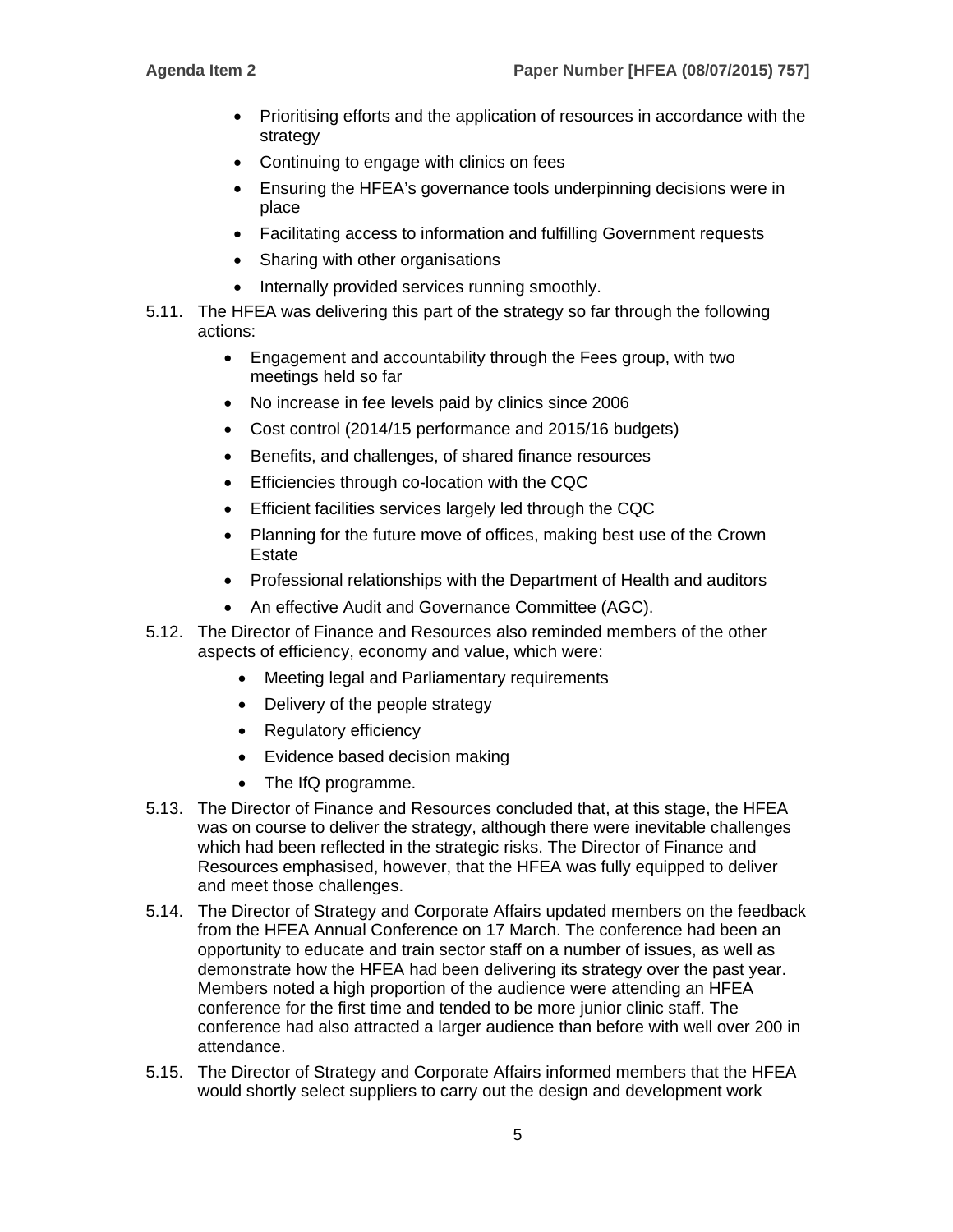- Prioritising efforts and the application of resources in accordance with the strategy
- Continuing to engage with clinics on fees
- Ensuring the HFEA's governance tools underpinning decisions were in place
- Facilitating access to information and fulfilling Government requests
- Sharing with other organisations
- Internally provided services running smoothly.
- 5.11. The HFEA was delivering this part of the strategy so far through the following actions:
	- Engagement and accountability through the Fees group, with two meetings held so far
	- No increase in fee levels paid by clinics since 2006
	- Cost control (2014/15 performance and 2015/16 budgets)
	- Benefits, and challenges, of shared finance resources
	- **Efficiencies through co-location with the CQC**
	- Efficient facilities services largely led through the CQC
	- Planning for the future move of offices, making best use of the Crown **Estate**
	- Professional relationships with the Department of Health and auditors
	- An effective Audit and Governance Committee (AGC).
- 5.12. The Director of Finance and Resources also reminded members of the other aspects of efficiency, economy and value, which were:
	- Meeting legal and Parliamentary requirements
	- Delivery of the people strategy
	- Regulatory efficiency
	- Evidence based decision making
	- The IfQ programme.
- 5.13. The Director of Finance and Resources concluded that, at this stage, the HFEA was on course to deliver the strategy, although there were inevitable challenges which had been reflected in the strategic risks. The Director of Finance and Resources emphasised, however, that the HFEA was fully equipped to deliver and meet those challenges.
- 5.14. The Director of Strategy and Corporate Affairs updated members on the feedback from the HFEA Annual Conference on 17 March. The conference had been an opportunity to educate and train sector staff on a number of issues, as well as demonstrate how the HFEA had been delivering its strategy over the past year. Members noted a high proportion of the audience were attending an HFEA conference for the first time and tended to be more junior clinic staff. The conference had also attracted a larger audience than before with well over 200 in attendance.
- 5.15. The Director of Strategy and Corporate Affairs informed members that the HFEA would shortly select suppliers to carry out the design and development work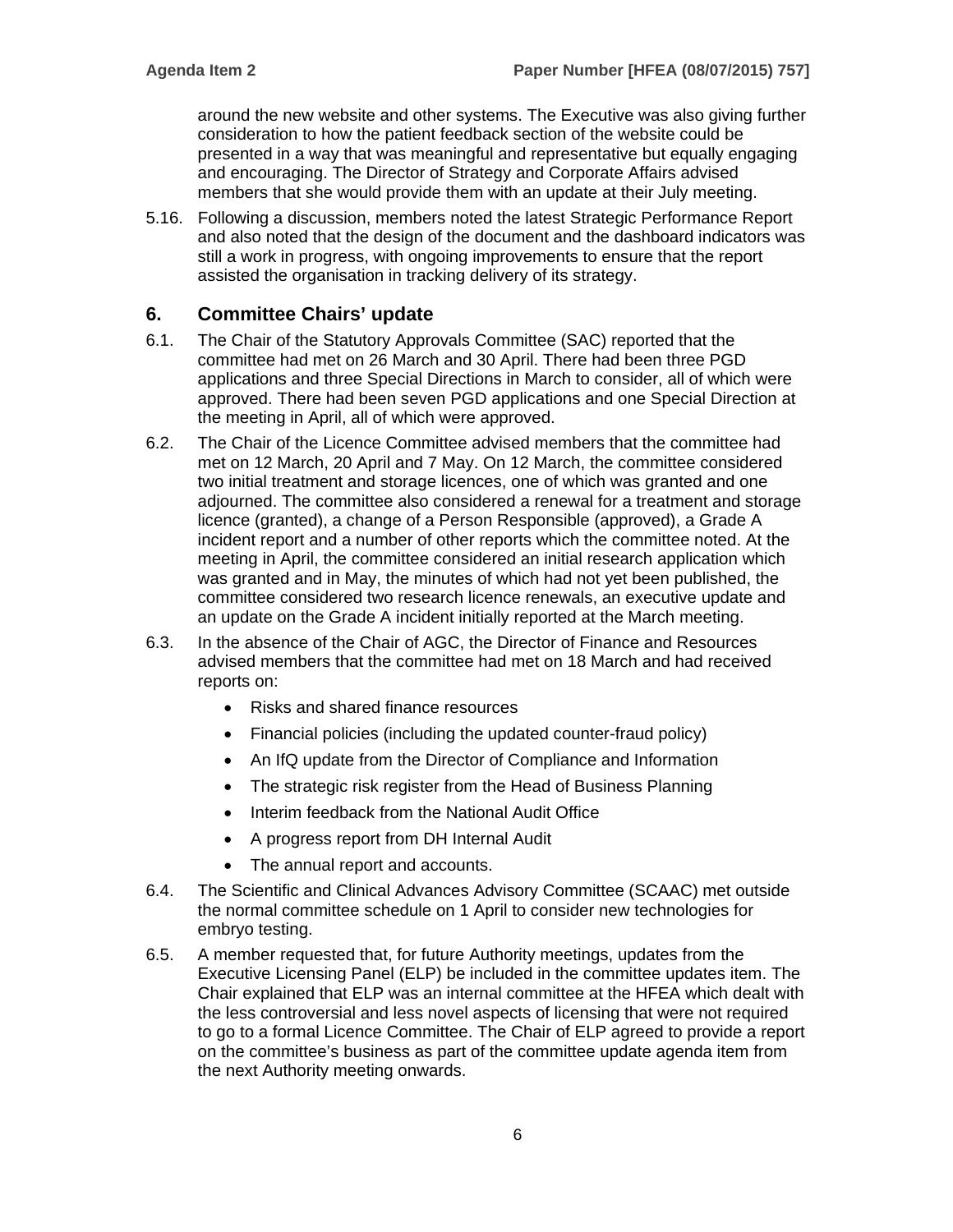around the new website and other systems. The Executive was also giving further consideration to how the patient feedback section of the website could be presented in a way that was meaningful and representative but equally engaging and encouraging. The Director of Strategy and Corporate Affairs advised members that she would provide them with an update at their July meeting.

5.16. Following a discussion, members noted the latest Strategic Performance Report and also noted that the design of the document and the dashboard indicators was still a work in progress, with ongoing improvements to ensure that the report assisted the organisation in tracking delivery of its strategy.

# **6. Committee Chairs' update**

- 6.1. The Chair of the Statutory Approvals Committee (SAC) reported that the committee had met on 26 March and 30 April. There had been three PGD applications and three Special Directions in March to consider, all of which were approved. There had been seven PGD applications and one Special Direction at the meeting in April, all of which were approved.
- 6.2. The Chair of the Licence Committee advised members that the committee had met on 12 March, 20 April and 7 May. On 12 March, the committee considered two initial treatment and storage licences, one of which was granted and one adjourned. The committee also considered a renewal for a treatment and storage licence (granted), a change of a Person Responsible (approved), a Grade A incident report and a number of other reports which the committee noted. At the meeting in April, the committee considered an initial research application which was granted and in May, the minutes of which had not yet been published, the committee considered two research licence renewals, an executive update and an update on the Grade A incident initially reported at the March meeting.
- 6.3. In the absence of the Chair of AGC, the Director of Finance and Resources advised members that the committee had met on 18 March and had received reports on:
	- Risks and shared finance resources
	- Financial policies (including the updated counter-fraud policy)
	- An IfQ update from the Director of Compliance and Information
	- The strategic risk register from the Head of Business Planning
	- Interim feedback from the National Audit Office
	- A progress report from DH Internal Audit
	- The annual report and accounts.
- 6.4. The Scientific and Clinical Advances Advisory Committee (SCAAC) met outside the normal committee schedule on 1 April to consider new technologies for embryo testing.
- 6.5. A member requested that, for future Authority meetings, updates from the Executive Licensing Panel (ELP) be included in the committee updates item. The Chair explained that ELP was an internal committee at the HFEA which dealt with the less controversial and less novel aspects of licensing that were not required to go to a formal Licence Committee. The Chair of ELP agreed to provide a report on the committee's business as part of the committee update agenda item from the next Authority meeting onwards.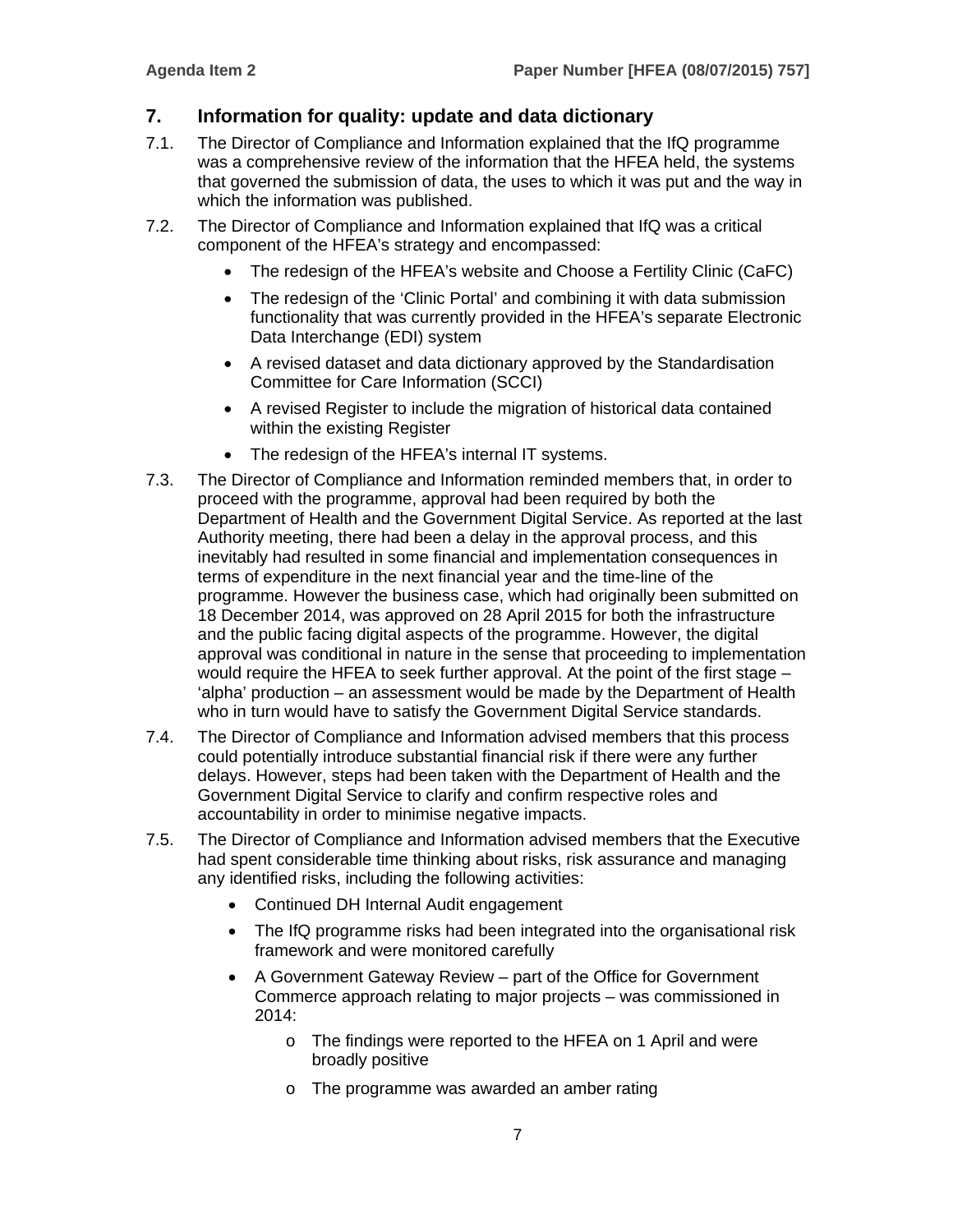# **7. Information for quality: update and data dictionary**

- 7.1. The Director of Compliance and Information explained that the IfQ programme was a comprehensive review of the information that the HFEA held, the systems that governed the submission of data, the uses to which it was put and the way in which the information was published.
- 7.2. The Director of Compliance and Information explained that IfQ was a critical component of the HFEA's strategy and encompassed:
	- The redesign of the HFEA's website and Choose a Fertility Clinic (CaFC)
	- The redesign of the 'Clinic Portal' and combining it with data submission functionality that was currently provided in the HFEA's separate Electronic Data Interchange (EDI) system
	- A revised dataset and data dictionary approved by the Standardisation Committee for Care Information (SCCI)
	- A revised Register to include the migration of historical data contained within the existing Register
	- The redesign of the HFEA's internal IT systems.
- 7.3. The Director of Compliance and Information reminded members that, in order to proceed with the programme, approval had been required by both the Department of Health and the Government Digital Service. As reported at the last Authority meeting, there had been a delay in the approval process, and this inevitably had resulted in some financial and implementation consequences in terms of expenditure in the next financial year and the time-line of the programme. However the business case, which had originally been submitted on 18 December 2014, was approved on 28 April 2015 for both the infrastructure and the public facing digital aspects of the programme. However, the digital approval was conditional in nature in the sense that proceeding to implementation would require the HFEA to seek further approval. At the point of the first stage – 'alpha' production – an assessment would be made by the Department of Health who in turn would have to satisfy the Government Digital Service standards.
- 7.4. The Director of Compliance and Information advised members that this process could potentially introduce substantial financial risk if there were any further delays. However, steps had been taken with the Department of Health and the Government Digital Service to clarify and confirm respective roles and accountability in order to minimise negative impacts.
- 7.5. The Director of Compliance and Information advised members that the Executive had spent considerable time thinking about risks, risk assurance and managing any identified risks, including the following activities:
	- Continued DH Internal Audit engagement
	- The IfQ programme risks had been integrated into the organisational risk framework and were monitored carefully
	- A Government Gateway Review part of the Office for Government Commerce approach relating to major projects – was commissioned in 2014:
		- o The findings were reported to the HFEA on 1 April and were broadly positive
		- o The programme was awarded an amber rating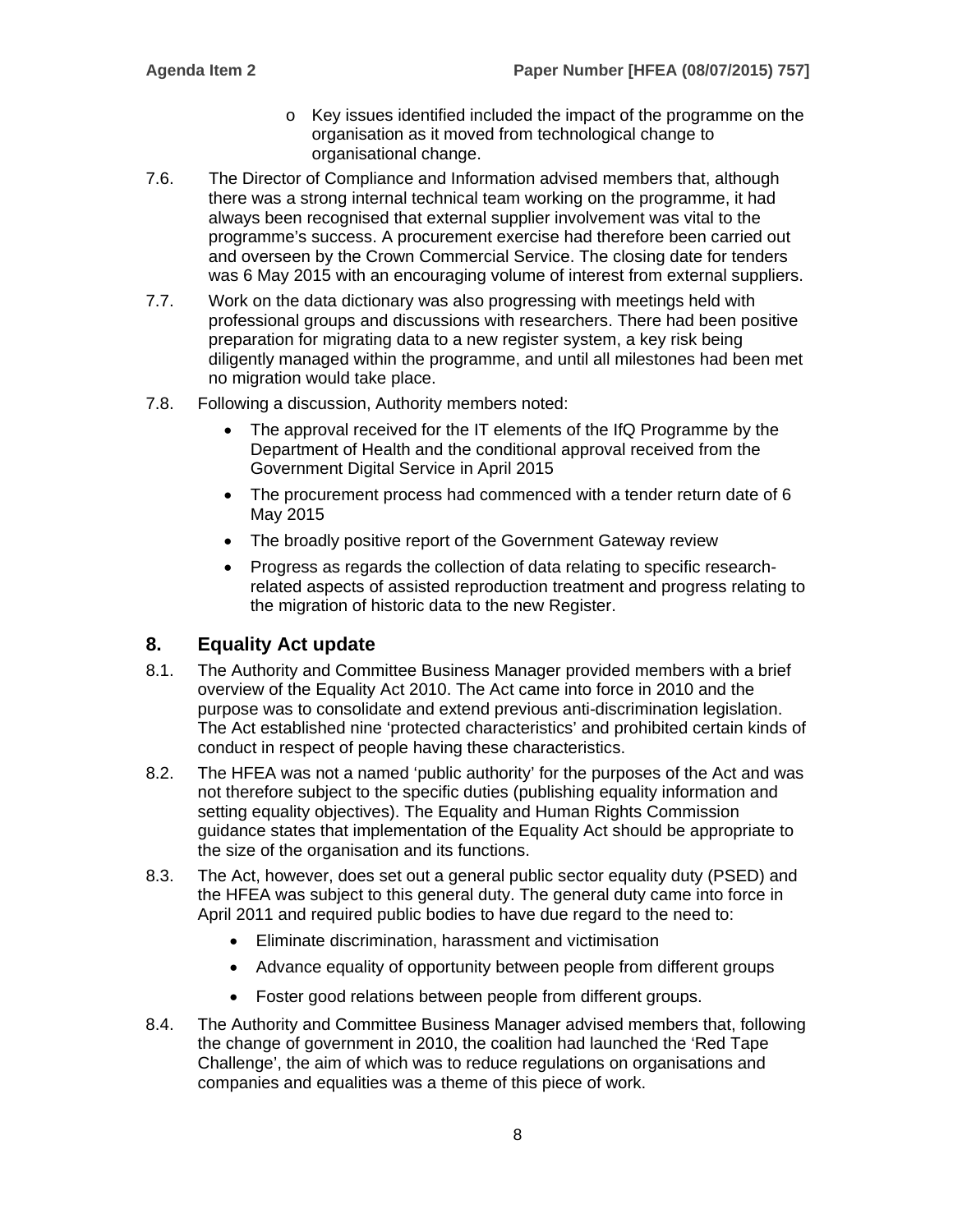- o Key issues identified included the impact of the programme on the organisation as it moved from technological change to organisational change.
- 7.6. The Director of Compliance and Information advised members that, although there was a strong internal technical team working on the programme, it had always been recognised that external supplier involvement was vital to the programme's success. A procurement exercise had therefore been carried out and overseen by the Crown Commercial Service. The closing date for tenders was 6 May 2015 with an encouraging volume of interest from external suppliers.
- 7.7. Work on the data dictionary was also progressing with meetings held with professional groups and discussions with researchers. There had been positive preparation for migrating data to a new register system, a key risk being diligently managed within the programme, and until all milestones had been met no migration would take place.
- 7.8. Following a discussion, Authority members noted:
	- The approval received for the IT elements of the IfQ Programme by the Department of Health and the conditional approval received from the Government Digital Service in April 2015
	- The procurement process had commenced with a tender return date of 6 May 2015
	- The broadly positive report of the Government Gateway review
	- Progress as regards the collection of data relating to specific researchrelated aspects of assisted reproduction treatment and progress relating to the migration of historic data to the new Register.

# **8. Equality Act update**

- 8.1. The Authority and Committee Business Manager provided members with a brief overview of the Equality Act 2010. The Act came into force in 2010 and the purpose was to consolidate and extend previous anti-discrimination legislation. The Act established nine 'protected characteristics' and prohibited certain kinds of conduct in respect of people having these characteristics.
- 8.2. The HFEA was not a named 'public authority' for the purposes of the Act and was not therefore subject to the specific duties (publishing equality information and setting equality objectives). The Equality and Human Rights Commission guidance states that implementation of the Equality Act should be appropriate to the size of the organisation and its functions.
- 8.3. The Act, however, does set out a general public sector equality duty (PSED) and the HFEA was subject to this general duty. The general duty came into force in April 2011 and required public bodies to have due regard to the need to:
	- Eliminate discrimination, harassment and victimisation
	- Advance equality of opportunity between people from different groups
	- Foster good relations between people from different groups.
- 8.4. The Authority and Committee Business Manager advised members that, following the change of government in 2010, the coalition had launched the 'Red Tape Challenge', the aim of which was to reduce regulations on organisations and companies and equalities was a theme of this piece of work.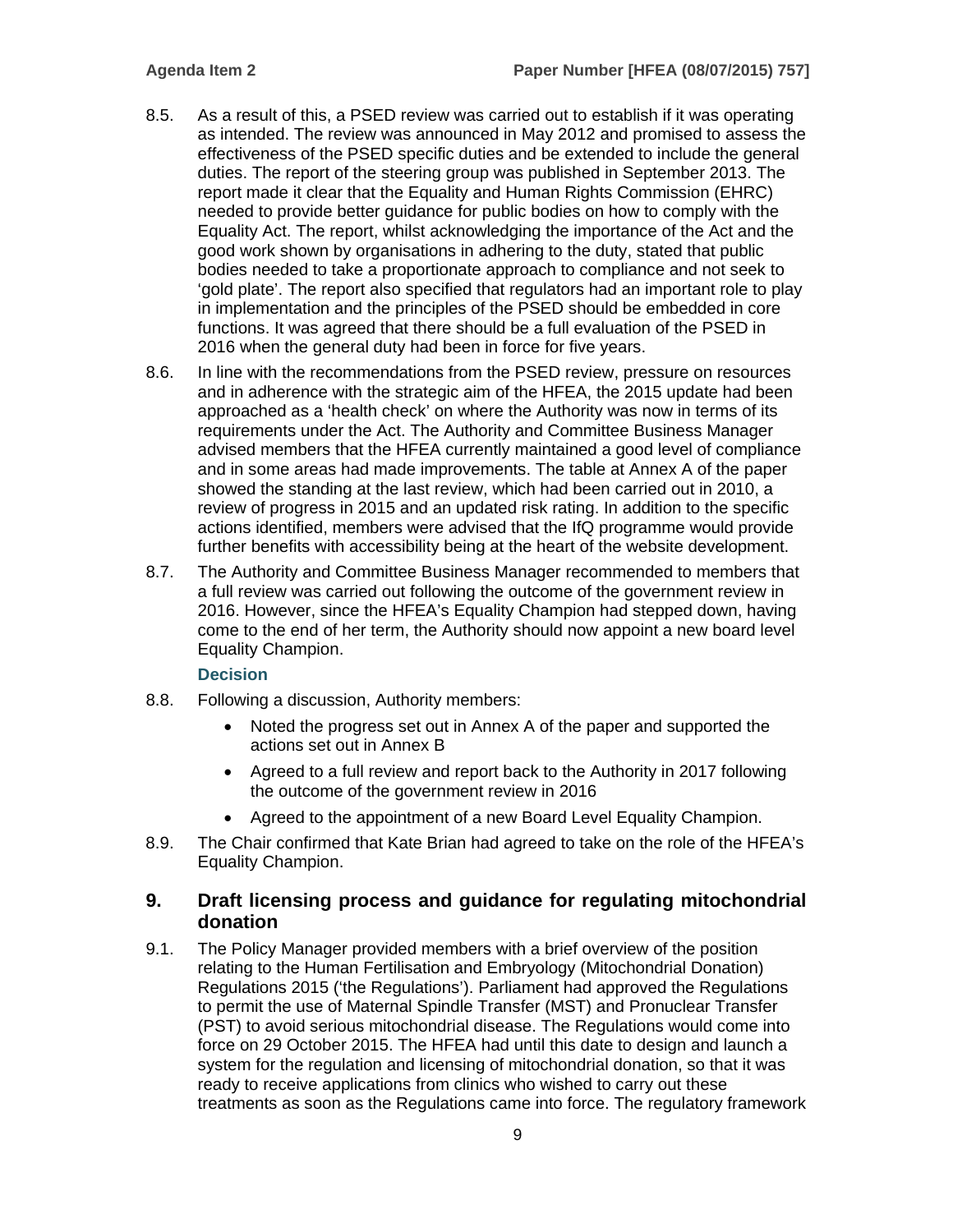- 8.5. As a result of this, a PSED review was carried out to establish if it was operating as intended. The review was announced in May 2012 and promised to assess the effectiveness of the PSED specific duties and be extended to include the general duties. The report of the steering group was published in September 2013. The report made it clear that the Equality and Human Rights Commission (EHRC) needed to provide better guidance for public bodies on how to comply with the Equality Act. The report, whilst acknowledging the importance of the Act and the good work shown by organisations in adhering to the duty, stated that public bodies needed to take a proportionate approach to compliance and not seek to 'gold plate'. The report also specified that regulators had an important role to play in implementation and the principles of the PSED should be embedded in core functions. It was agreed that there should be a full evaluation of the PSED in 2016 when the general duty had been in force for five years.
- 8.6. In line with the recommendations from the PSED review, pressure on resources and in adherence with the strategic aim of the HFEA, the 2015 update had been approached as a 'health check' on where the Authority was now in terms of its requirements under the Act. The Authority and Committee Business Manager advised members that the HFEA currently maintained a good level of compliance and in some areas had made improvements. The table at Annex A of the paper showed the standing at the last review, which had been carried out in 2010, a review of progress in 2015 and an updated risk rating. In addition to the specific actions identified, members were advised that the IfQ programme would provide further benefits with accessibility being at the heart of the website development.
- 8.7. The Authority and Committee Business Manager recommended to members that a full review was carried out following the outcome of the government review in 2016. However, since the HFEA's Equality Champion had stepped down, having come to the end of her term, the Authority should now appoint a new board level Equality Champion.

#### **Decision**

- 8.8. Following a discussion, Authority members:
	- Noted the progress set out in Annex A of the paper and supported the actions set out in Annex B
	- Agreed to a full review and report back to the Authority in 2017 following the outcome of the government review in 2016
	- Agreed to the appointment of a new Board Level Equality Champion.
- 8.9. The Chair confirmed that Kate Brian had agreed to take on the role of the HFEA's Equality Champion.

#### **9. Draft licensing process and guidance for regulating mitochondrial donation**

9.1. The Policy Manager provided members with a brief overview of the position relating to the Human Fertilisation and Embryology (Mitochondrial Donation) Regulations 2015 ('the Regulations'). Parliament had approved the Regulations to permit the use of Maternal Spindle Transfer (MST) and Pronuclear Transfer (PST) to avoid serious mitochondrial disease. The Regulations would come into force on 29 October 2015. The HFEA had until this date to design and launch a system for the regulation and licensing of mitochondrial donation, so that it was ready to receive applications from clinics who wished to carry out these treatments as soon as the Regulations came into force. The regulatory framework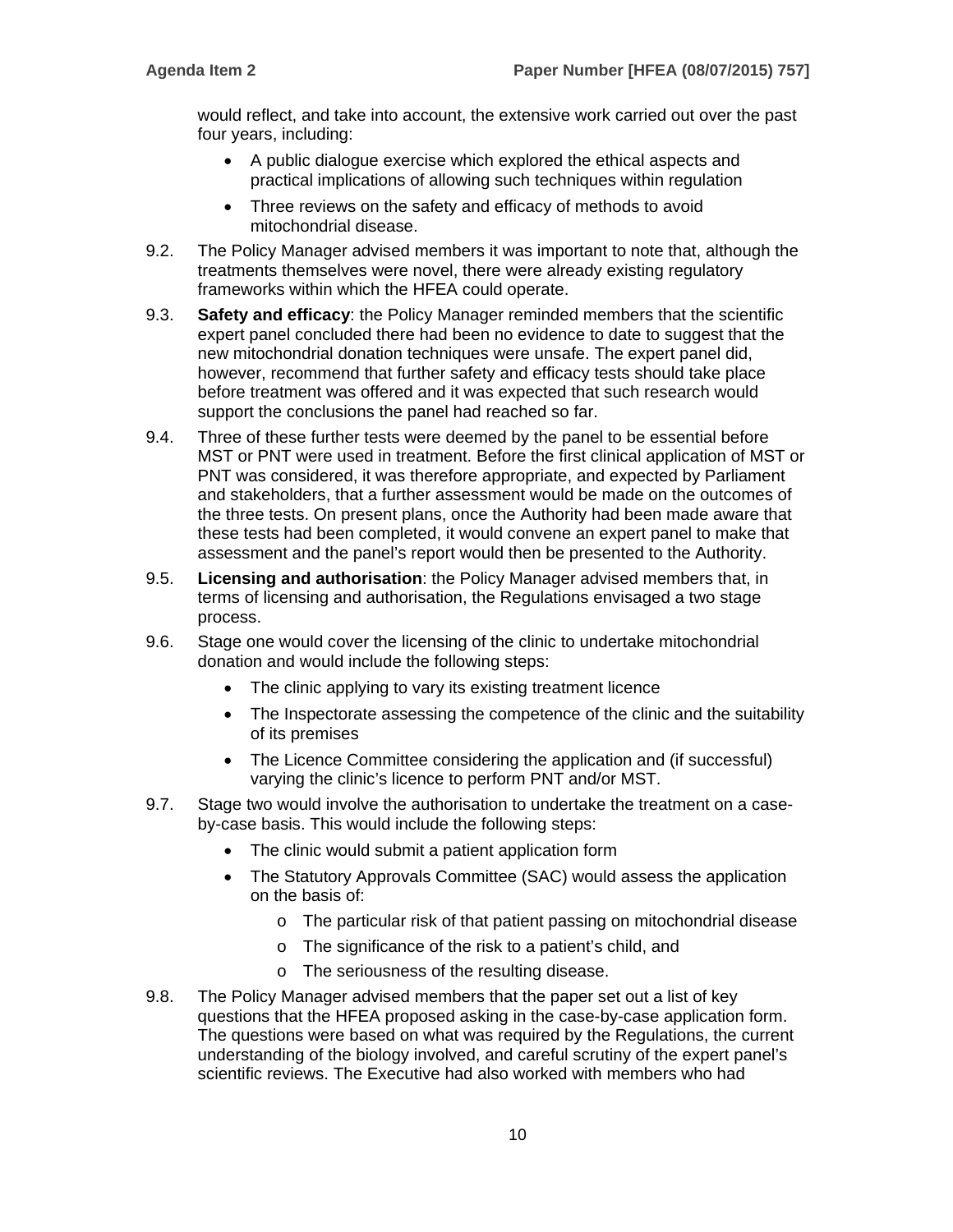would reflect, and take into account, the extensive work carried out over the past four years, including:

- A public dialogue exercise which explored the ethical aspects and practical implications of allowing such techniques within regulation
- Three reviews on the safety and efficacy of methods to avoid mitochondrial disease.
- 9.2. The Policy Manager advised members it was important to note that, although the treatments themselves were novel, there were already existing regulatory frameworks within which the HFEA could operate.
- 9.3. **Safety and efficacy**: the Policy Manager reminded members that the scientific expert panel concluded there had been no evidence to date to suggest that the new mitochondrial donation techniques were unsafe. The expert panel did, however, recommend that further safety and efficacy tests should take place before treatment was offered and it was expected that such research would support the conclusions the panel had reached so far.
- 9.4. Three of these further tests were deemed by the panel to be essential before MST or PNT were used in treatment. Before the first clinical application of MST or PNT was considered, it was therefore appropriate, and expected by Parliament and stakeholders, that a further assessment would be made on the outcomes of the three tests. On present plans, once the Authority had been made aware that these tests had been completed, it would convene an expert panel to make that assessment and the panel's report would then be presented to the Authority.
- 9.5. **Licensing and authorisation**: the Policy Manager advised members that, in terms of licensing and authorisation, the Regulations envisaged a two stage process.
- 9.6. Stage one would cover the licensing of the clinic to undertake mitochondrial donation and would include the following steps:
	- The clinic applying to vary its existing treatment licence
	- The Inspectorate assessing the competence of the clinic and the suitability of its premises
	- The Licence Committee considering the application and (if successful) varying the clinic's licence to perform PNT and/or MST.
- 9.7. Stage two would involve the authorisation to undertake the treatment on a caseby-case basis. This would include the following steps:
	- The clinic would submit a patient application form
	- The Statutory Approvals Committee (SAC) would assess the application on the basis of:
		- o The particular risk of that patient passing on mitochondrial disease
		- o The significance of the risk to a patient's child, and
		- o The seriousness of the resulting disease.
- 9.8. The Policy Manager advised members that the paper set out a list of key questions that the HFEA proposed asking in the case-by-case application form. The questions were based on what was required by the Regulations, the current understanding of the biology involved, and careful scrutiny of the expert panel's scientific reviews. The Executive had also worked with members who had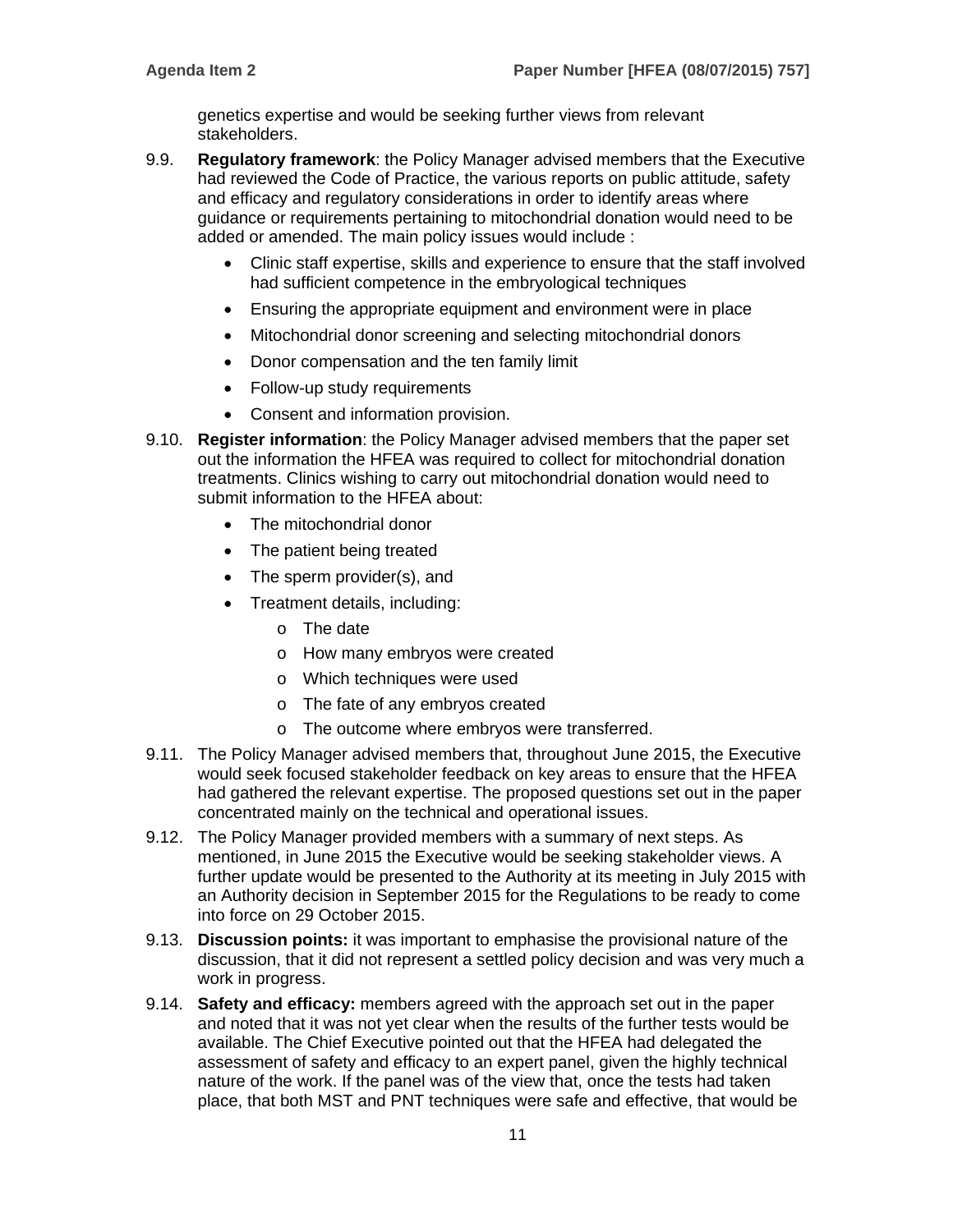genetics expertise and would be seeking further views from relevant stakeholders.

- 9.9. **Regulatory framework**: the Policy Manager advised members that the Executive had reviewed the Code of Practice, the various reports on public attitude, safety and efficacy and regulatory considerations in order to identify areas where guidance or requirements pertaining to mitochondrial donation would need to be added or amended. The main policy issues would include :
	- Clinic staff expertise, skills and experience to ensure that the staff involved had sufficient competence in the embryological techniques
	- Ensuring the appropriate equipment and environment were in place
	- Mitochondrial donor screening and selecting mitochondrial donors
	- Donor compensation and the ten family limit
	- Follow-up study requirements
	- Consent and information provision.
- 9.10. **Register information**: the Policy Manager advised members that the paper set out the information the HFEA was required to collect for mitochondrial donation treatments. Clinics wishing to carry out mitochondrial donation would need to submit information to the HFEA about:
	- The mitochondrial donor
	- The patient being treated
	- The sperm provider(s), and
	- Treatment details, including:
		- o The date
		- o How many embryos were created
		- o Which techniques were used
		- o The fate of any embryos created
		- o The outcome where embryos were transferred.
- 9.11. The Policy Manager advised members that, throughout June 2015, the Executive would seek focused stakeholder feedback on key areas to ensure that the HFEA had gathered the relevant expertise. The proposed questions set out in the paper concentrated mainly on the technical and operational issues.
- 9.12. The Policy Manager provided members with a summary of next steps. As mentioned, in June 2015 the Executive would be seeking stakeholder views. A further update would be presented to the Authority at its meeting in July 2015 with an Authority decision in September 2015 for the Regulations to be ready to come into force on 29 October 2015.
- 9.13. **Discussion points:** it was important to emphasise the provisional nature of the discussion, that it did not represent a settled policy decision and was very much a work in progress.
- 9.14. **Safety and efficacy:** members agreed with the approach set out in the paper and noted that it was not yet clear when the results of the further tests would be available. The Chief Executive pointed out that the HFEA had delegated the assessment of safety and efficacy to an expert panel, given the highly technical nature of the work. If the panel was of the view that, once the tests had taken place, that both MST and PNT techniques were safe and effective, that would be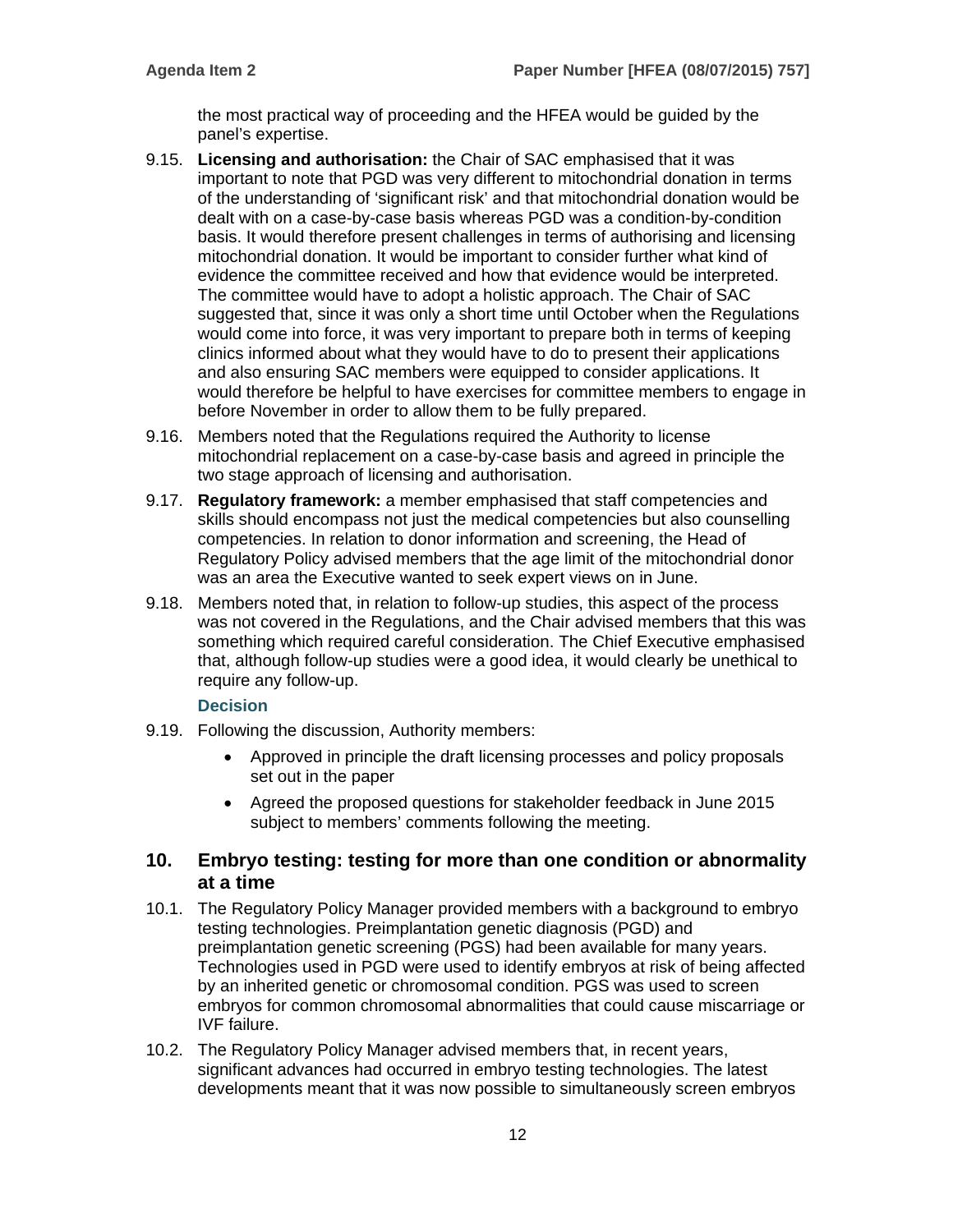the most practical way of proceeding and the HFEA would be guided by the panel's expertise.

- 9.15. **Licensing and authorisation:** the Chair of SAC emphasised that it was important to note that PGD was very different to mitochondrial donation in terms of the understanding of 'significant risk' and that mitochondrial donation would be dealt with on a case-by-case basis whereas PGD was a condition-by-condition basis. It would therefore present challenges in terms of authorising and licensing mitochondrial donation. It would be important to consider further what kind of evidence the committee received and how that evidence would be interpreted. The committee would have to adopt a holistic approach. The Chair of SAC suggested that, since it was only a short time until October when the Regulations would come into force, it was very important to prepare both in terms of keeping clinics informed about what they would have to do to present their applications and also ensuring SAC members were equipped to consider applications. It would therefore be helpful to have exercises for committee members to engage in before November in order to allow them to be fully prepared.
- 9.16. Members noted that the Regulations required the Authority to license mitochondrial replacement on a case-by-case basis and agreed in principle the two stage approach of licensing and authorisation.
- 9.17. **Regulatory framework:** a member emphasised that staff competencies and skills should encompass not just the medical competencies but also counselling competencies. In relation to donor information and screening, the Head of Regulatory Policy advised members that the age limit of the mitochondrial donor was an area the Executive wanted to seek expert views on in June.
- 9.18. Members noted that, in relation to follow-up studies, this aspect of the process was not covered in the Regulations, and the Chair advised members that this was something which required careful consideration. The Chief Executive emphasised that, although follow-up studies were a good idea, it would clearly be unethical to require any follow-up.

#### **Decision**

- 9.19. Following the discussion, Authority members:
	- Approved in principle the draft licensing processes and policy proposals set out in the paper
	- Agreed the proposed questions for stakeholder feedback in June 2015 subject to members' comments following the meeting.

#### **10. Embryo testing: testing for more than one condition or abnormality at a time**

- 10.1. The Regulatory Policy Manager provided members with a background to embryo testing technologies. Preimplantation genetic diagnosis (PGD) and preimplantation genetic screening (PGS) had been available for many years. Technologies used in PGD were used to identify embryos at risk of being affected by an inherited genetic or chromosomal condition. PGS was used to screen embryos for common chromosomal abnormalities that could cause miscarriage or IVF failure.
- 10.2. The Regulatory Policy Manager advised members that, in recent years, significant advances had occurred in embryo testing technologies. The latest developments meant that it was now possible to simultaneously screen embryos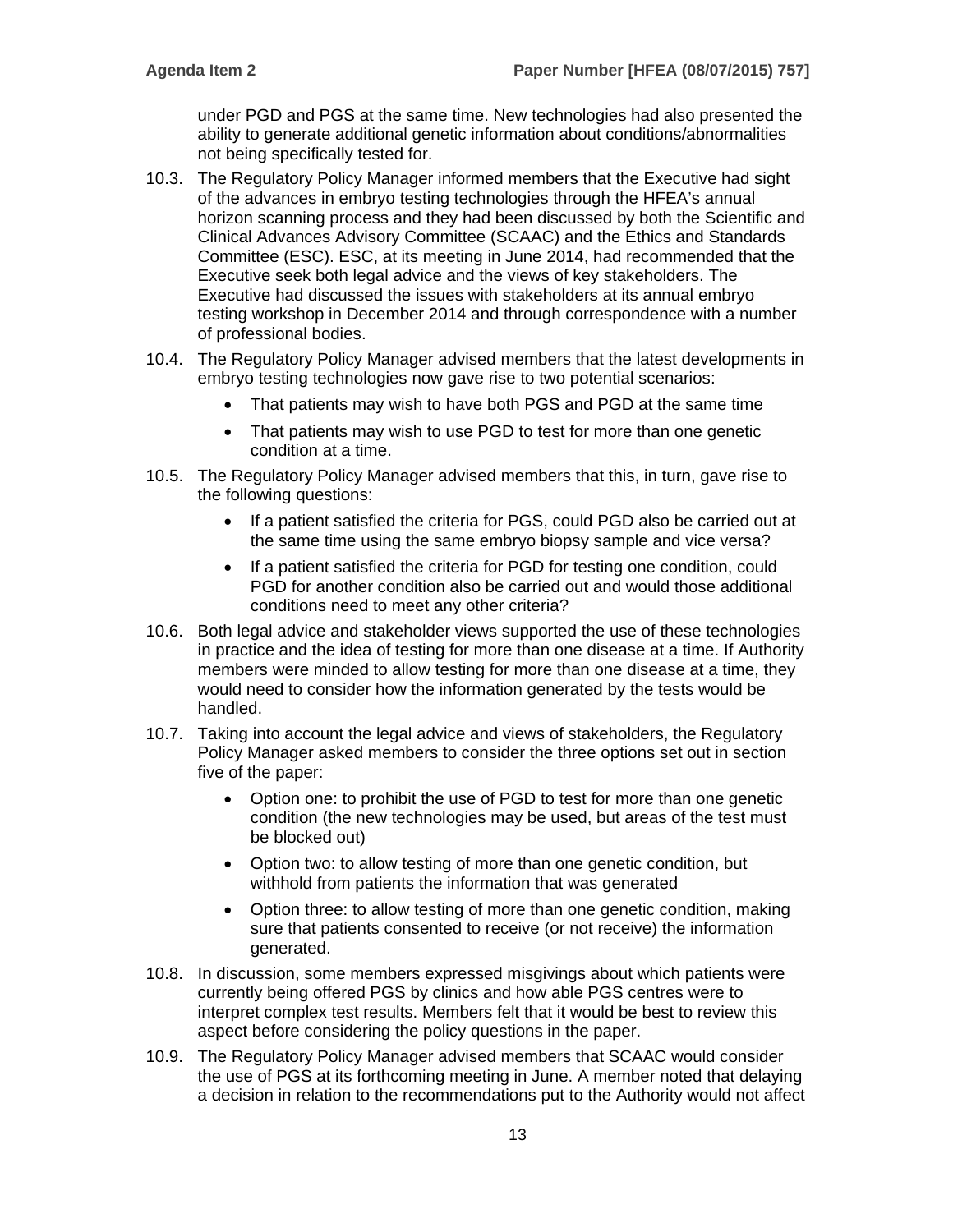under PGD and PGS at the same time. New technologies had also presented the ability to generate additional genetic information about conditions/abnormalities not being specifically tested for.

- 10.3. The Regulatory Policy Manager informed members that the Executive had sight of the advances in embryo testing technologies through the HFEA's annual horizon scanning process and they had been discussed by both the Scientific and Clinical Advances Advisory Committee (SCAAC) and the Ethics and Standards Committee (ESC). ESC, at its meeting in June 2014, had recommended that the Executive seek both legal advice and the views of key stakeholders. The Executive had discussed the issues with stakeholders at its annual embryo testing workshop in December 2014 and through correspondence with a number of professional bodies.
- 10.4. The Regulatory Policy Manager advised members that the latest developments in embryo testing technologies now gave rise to two potential scenarios:
	- That patients may wish to have both PGS and PGD at the same time
	- That patients may wish to use PGD to test for more than one genetic condition at a time.
- 10.5. The Regulatory Policy Manager advised members that this, in turn, gave rise to the following questions:
	- If a patient satisfied the criteria for PGS, could PGD also be carried out at the same time using the same embryo biopsy sample and vice versa?
	- If a patient satisfied the criteria for PGD for testing one condition, could PGD for another condition also be carried out and would those additional conditions need to meet any other criteria?
- 10.6. Both legal advice and stakeholder views supported the use of these technologies in practice and the idea of testing for more than one disease at a time. If Authority members were minded to allow testing for more than one disease at a time, they would need to consider how the information generated by the tests would be handled.
- 10.7. Taking into account the legal advice and views of stakeholders, the Regulatory Policy Manager asked members to consider the three options set out in section five of the paper:
	- Option one: to prohibit the use of PGD to test for more than one genetic condition (the new technologies may be used, but areas of the test must be blocked out)
	- Option two: to allow testing of more than one genetic condition, but withhold from patients the information that was generated
	- Option three: to allow testing of more than one genetic condition, making sure that patients consented to receive (or not receive) the information generated.
- 10.8. In discussion, some members expressed misgivings about which patients were currently being offered PGS by clinics and how able PGS centres were to interpret complex test results. Members felt that it would be best to review this aspect before considering the policy questions in the paper.
- 10.9. The Regulatory Policy Manager advised members that SCAAC would consider the use of PGS at its forthcoming meeting in June. A member noted that delaying a decision in relation to the recommendations put to the Authority would not affect